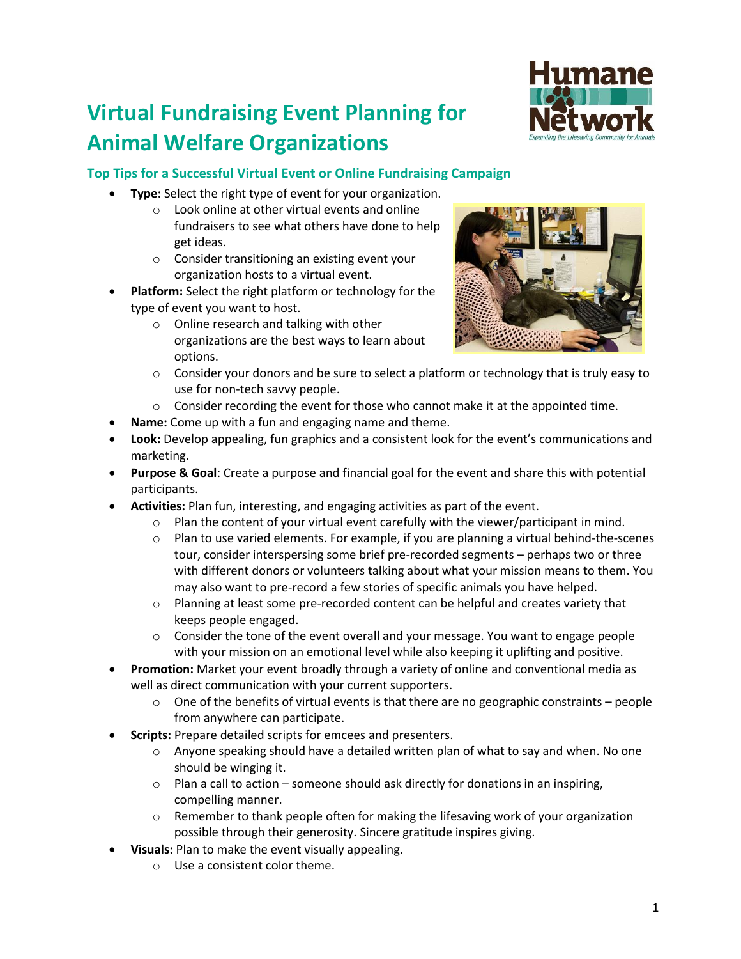# **Virtual Fundraising Event Planning for Animal Welfare Organizations**



### **Top Tips for a Successful Virtual Event or Online Fundraising Campaign**

- **Type:** Select the right type of event for your organization.
	- o Look online at other virtual events and online fundraisers to see what others have done to help get ideas.
	- o Consider transitioning an existing event your organization hosts to a virtual event.
- **Platform:** Select the right platform or technology for the type of event you want to host.
	- o Online research and talking with other organizations are the best ways to learn about options.



- o Consider your donors and be sure to select a platform or technology that is truly easy to use for non-tech savvy people.
- $\circ$  Consider recording the event for those who cannot make it at the appointed time.
- **Name:** Come up with a fun and engaging name and theme.
- **Look:** Develop appealing, fun graphics and a consistent look for the event's communications and marketing.
- **Purpose & Goal**: Create a purpose and financial goal for the event and share this with potential participants.
- **Activities:** Plan fun, interesting, and engaging activities as part of the event.
	- $\circ$  Plan the content of your virtual event carefully with the viewer/participant in mind.
	- o Plan to use varied elements. For example, if you are planning a virtual behind-the-scenes tour, consider interspersing some brief pre-recorded segments – perhaps two or three with different donors or volunteers talking about what your mission means to them. You may also want to pre-record a few stories of specific animals you have helped.
	- $\circ$  Planning at least some pre-recorded content can be helpful and creates variety that keeps people engaged.
	- $\circ$  Consider the tone of the event overall and your message. You want to engage people with your mission on an emotional level while also keeping it uplifting and positive.
- **Promotion:** Market your event broadly through a variety of online and conventional media as well as direct communication with your current supporters.
	- $\circ$  One of the benefits of virtual events is that there are no geographic constraints people from anywhere can participate.
- **Scripts:** Prepare detailed scripts for emcees and presenters.
	- $\circ$  Anyone speaking should have a detailed written plan of what to say and when. No one should be winging it.
	- $\circ$  Plan a call to action someone should ask directly for donations in an inspiring, compelling manner.
	- $\circ$  Remember to thank people often for making the lifesaving work of your organization possible through their generosity. Sincere gratitude inspires giving.
- **Visuals:** Plan to make the event visually appealing.
	- o Use a consistent color theme.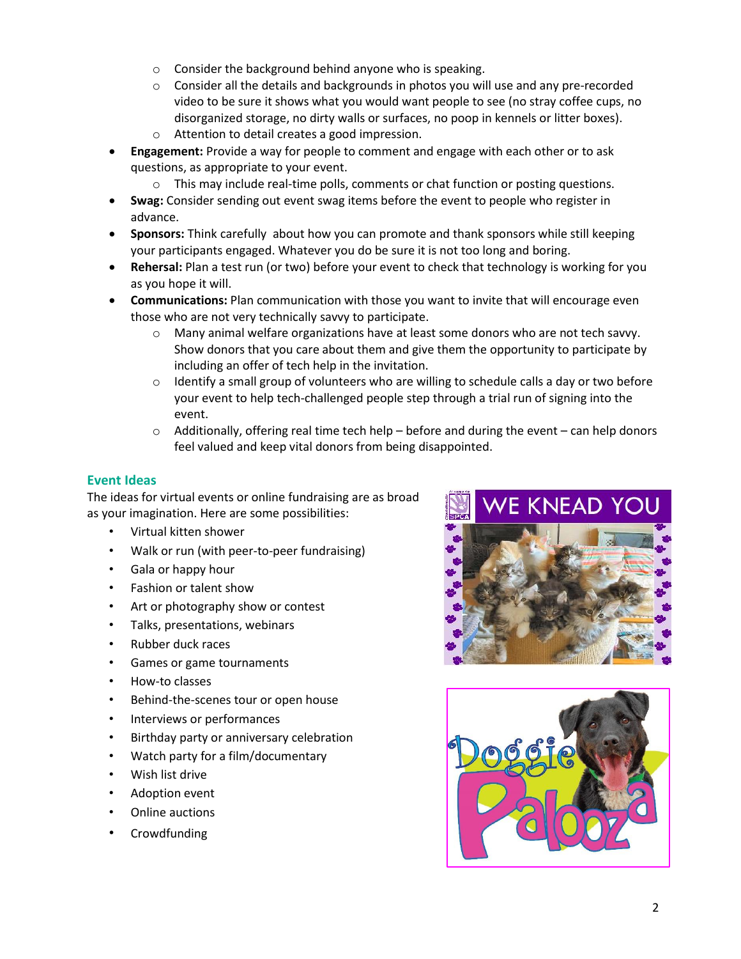- o Consider the background behind anyone who is speaking.
- $\circ$  Consider all the details and backgrounds in photos you will use and any pre-recorded video to be sure it shows what you would want people to see (no stray coffee cups, no disorganized storage, no dirty walls or surfaces, no poop in kennels or litter boxes).
- o Attention to detail creates a good impression.
- **Engagement:** Provide a way for people to comment and engage with each other or to ask questions, as appropriate to your event.
	- $\circ$  This may include real-time polls, comments or chat function or posting questions.
- **Swag:** Consider sending out event swag items before the event to people who register in advance.
- **Sponsors:** Think carefully about how you can promote and thank sponsors while still keeping your participants engaged. Whatever you do be sure it is not too long and boring.
- **Rehersal:** Plan a test run (or two) before your event to check that technology is working for you as you hope it will.
- **Communications:** Plan communication with those you want to invite that will encourage even those who are not very technically savvy to participate.
	- $\circ$  Many animal welfare organizations have at least some donors who are not tech savvy. Show donors that you care about them and give them the opportunity to participate by including an offer of tech help in the invitation.
	- $\circ$  Identify a small group of volunteers who are willing to schedule calls a day or two before your event to help tech-challenged people step through a trial run of signing into the event.
	- $\circ$  Additionally, offering real time tech help before and during the event can help donors feel valued and keep vital donors from being disappointed.

#### **Event Ideas**

The ideas for virtual events or online fundraising are as broad as your imagination. Here are some possibilities:

- Virtual kitten shower
- Walk or run (with peer-to-peer fundraising)
- Gala or happy hour
- Fashion or talent show
- Art or photography show or contest
- Talks, presentations, webinars
- Rubber duck races
- Games or game tournaments
- How-to classes
- Behind-the-scenes tour or open house
- Interviews or performances
- Birthday party or anniversary celebration
- Watch party for a film/documentary
- Wish list drive
- Adoption event
- Online auctions
- **Crowdfunding**





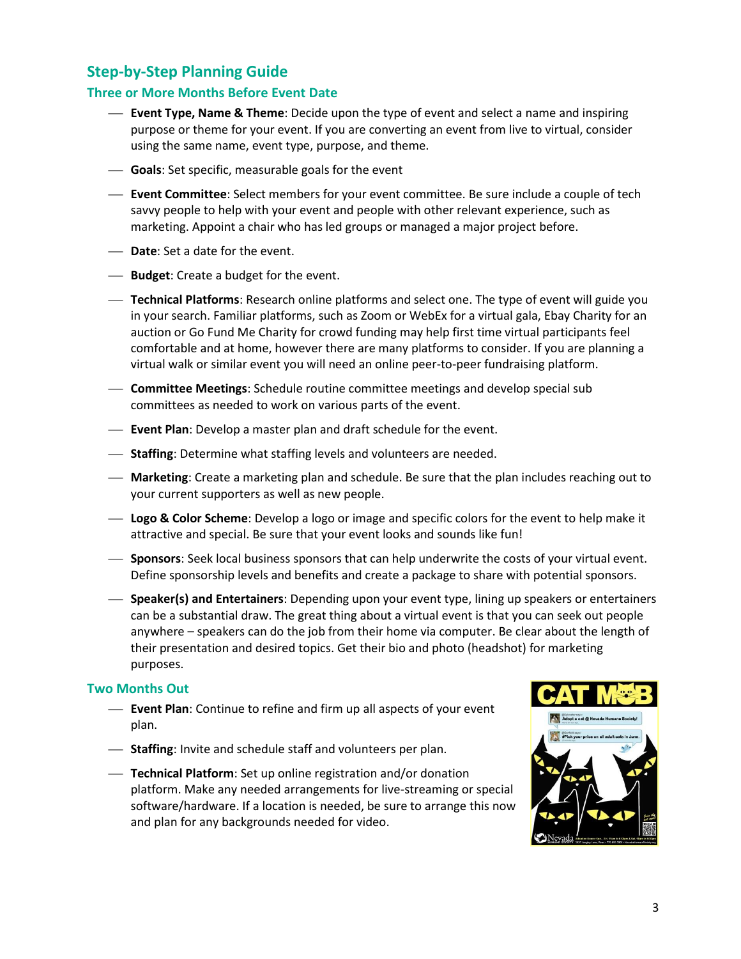## **Step-by-Step Planning Guide**

#### **Three or More Months Before Event Date**

- **Event Type, Name & Theme**: Decide upon the type of event and select a name and inspiring purpose or theme for your event. If you are converting an event from live to virtual, consider using the same name, event type, purpose, and theme.
- **Goals**: Set specific, measurable goals for the event
- **Event Committee**: Select members for your event committee. Be sure include a couple of tech savvy people to help with your event and people with other relevant experience, such as marketing. Appoint a chair who has led groups or managed a major project before.
- **Date**: Set a date for the event.
- **Budget:** Create a budget for the event.
- **Technical Platforms**: Research online platforms and select one. The type of event will guide you in your search. Familiar platforms, such as Zoom or WebEx for a virtual gala, Ebay Charity for an auction or Go Fund Me Charity for crowd funding may help first time virtual participants feel comfortable and at home, however there are many platforms to consider. If you are planning a virtual walk or similar event you will need an online peer-to-peer fundraising platform.
- **Committee Meetings**: Schedule routine committee meetings and develop special sub committees as needed to work on various parts of the event.
- **Event Plan**: Develop a master plan and draft schedule for the event.
- **Staffing**: Determine what staffing levels and volunteers are needed.
- **Marketing**: Create a marketing plan and schedule. Be sure that the plan includes reaching out to your current supporters as well as new people.
- **Logo & Color Scheme**: Develop a logo or image and specific colors for the event to help make it attractive and special. Be sure that your event looks and sounds like fun!
- **Sponsors**: Seek local business sponsors that can help underwrite the costs of your virtual event. Define sponsorship levels and benefits and create a package to share with potential sponsors.
- **Speaker(s) and Entertainers**: Depending upon your event type, lining up speakers or entertainers can be a substantial draw. The great thing about a virtual event is that you can seek out people anywhere – speakers can do the job from their home via computer. Be clear about the length of their presentation and desired topics. Get their bio and photo (headshot) for marketing purposes.

#### **Two Months Out**

- **Event Plan**: Continue to refine and firm up all aspects of your event plan.
- **Staffing**: Invite and schedule staff and volunteers per plan.
- **Technical Platform**: Set up online registration and/or donation platform. Make any needed arrangements for live-streaming or special software/hardware. If a location is needed, be sure to arrange this now and plan for any backgrounds needed for video.

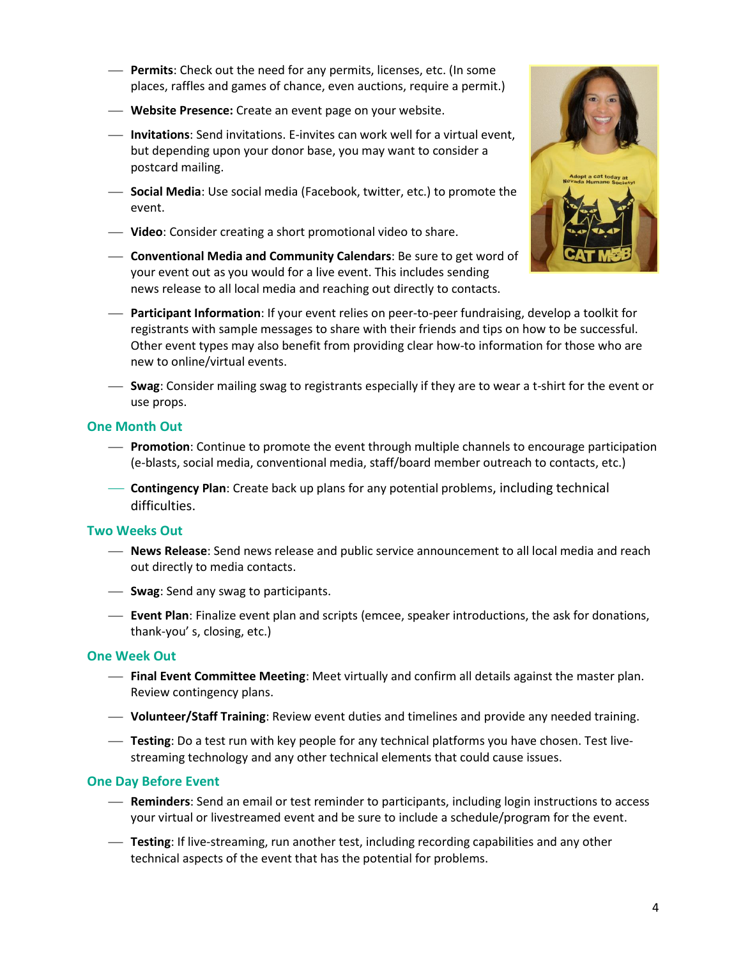- **Permits**: Check out the need for any permits, licenses, etc. (In some places, raffles and games of chance, even auctions, require a permit.)
- **Website Presence:** Create an event page on your website.
- **Invitations**: Send invitations. E-invites can work well for a virtual event, but depending upon your donor base, you may want to consider a postcard mailing.
- **Social Media**: Use social media (Facebook, twitter, etc.) to promote the event.
- **Video**: Consider creating a short promotional video to share.
- **Conventional Media and Community Calendars**: Be sure to get word of your event out as you would for a live event. This includes sending news release to all local media and reaching out directly to contacts.



- **Participant Information**: If your event relies on peer-to-peer fundraising, develop a toolkit for registrants with sample messages to share with their friends and tips on how to be successful. Other event types may also benefit from providing clear how-to information for those who are new to online/virtual events.
- **Swag**: Consider mailing swag to registrants especially if they are to wear a t-shirt for the event or use props.

#### **One Month Out**

- **Promotion**: Continue to promote the event through multiple channels to encourage participation (e-blasts, social media, conventional media, staff/board member outreach to contacts, etc.)
- **Contingency Plan**: Create back up plans for any potential problems, including technical difficulties.

#### **Two Weeks Out**

- **News Release**: Send news release and public service announcement to all local media and reach out directly to media contacts.
- **Swag**: Send any swag to participants.
- **Event Plan**: Finalize event plan and scripts (emcee, speaker introductions, the ask for donations, thank-you' s, closing, etc.)

#### **One Week Out**

- **Final Event Committee Meeting**: Meet virtually and confirm all details against the master plan. Review contingency plans.
- **Volunteer/Staff Training**: Review event duties and timelines and provide any needed training.
- **Testing**: Do a test run with key people for any technical platforms you have chosen. Test livestreaming technology and any other technical elements that could cause issues.

#### **One Day Before Event**

- **Reminders**: Send an email or test reminder to participants, including login instructions to access your virtual or livestreamed event and be sure to include a schedule/program for the event.
- **Testing**: If live-streaming, run another test, including recording capabilities and any other technical aspects of the event that has the potential for problems.